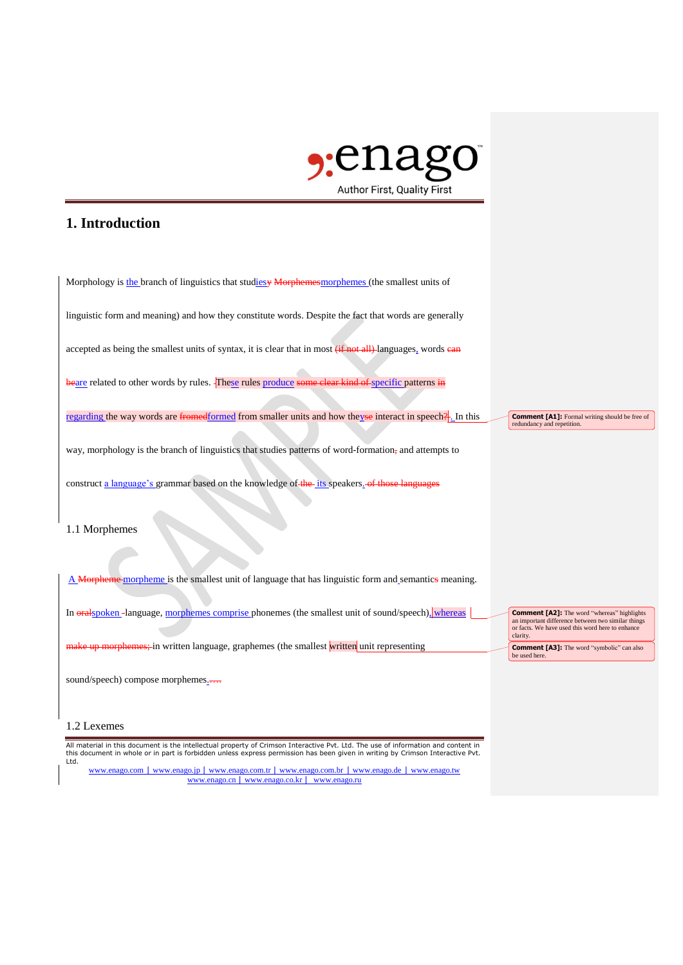

## **1. Introduction**

| Morphology is the branch of linguistics that studiesy Morphemes morphemes (the smallest units of                        |                                                                                                                                                                          |
|-------------------------------------------------------------------------------------------------------------------------|--------------------------------------------------------------------------------------------------------------------------------------------------------------------------|
| linguistic form and meaning) and how they constitute words. Despite the fact that words are generally                   |                                                                                                                                                                          |
| accepted as being the smallest units of syntax, it is clear that in most (if not all) languages, words ean              |                                                                                                                                                                          |
| beare related to other words by rules. These rules produce some clear kind of specific patterns in                      |                                                                                                                                                                          |
| regarding the way words are fromedformed from smaller units and how they see interact in speech $\frac{9}{2}$ . In this | <b>Comment [A1]:</b> Formal writing should be free of<br>redundancy and repetition.                                                                                      |
| way, morphology is the branch of linguistics that studies patterns of word-formation, and attempts to                   |                                                                                                                                                                          |
| construct a language's grammar based on the knowledge of the its speakers of those languages                            |                                                                                                                                                                          |
| 1.1 Morphemes                                                                                                           |                                                                                                                                                                          |
| A Morpheme-morpheme is the smallest unit of language that has linguistic form and semantics meaning.                    |                                                                                                                                                                          |
| In oralspoken-language, morphemes comprise phonemes (the smallest unit of sound/speech), whereas                        | <b>Comment [A2]:</b> The word "whereas" highlights<br>an important difference between two similar things<br>or facts. We have used this word here to enhance<br>clarity. |
| make up morphemes; in written language, graphemes (the smallest written unit representing                               | <b>Comment [A3]:</b> The word "symbolic" can also<br>be used here.                                                                                                       |
| sound/speech) compose morphemes                                                                                         |                                                                                                                                                                          |

## 1.2 Lexemes

All material in this document is the intellectual property of Crimson Interactive Pvt. Ltd. The use of information and content in<br>this document in whole or in part is forbidden unless express permission has been given in w

www.enago.com | www.enago.jp | www.enago.com.tr | www.enago.com.br | www.enago.de | www.enago.tw www.enago.cn | www.enago.co.kr | www.enago.ru